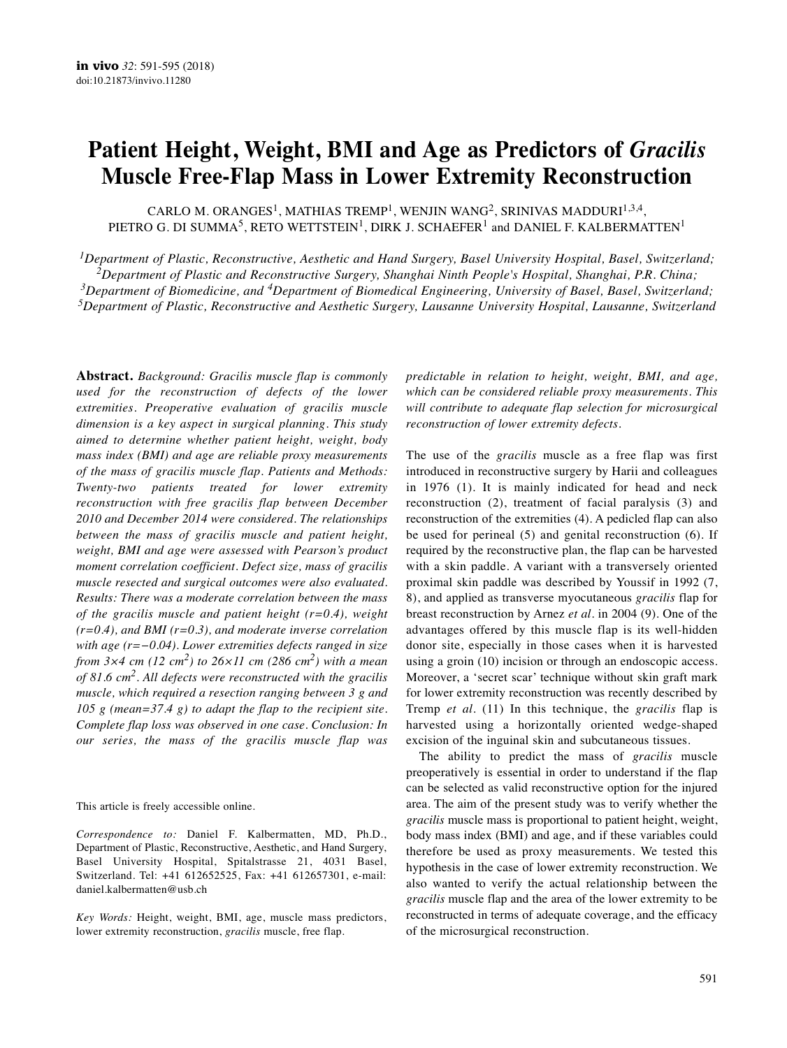# **Patient Height, Weight, BMI and Age as Predictors of** *Gracilis* **Muscle Free-Flap Mass in Lower Extremity Reconstruction**

CARLO M. ORANGES<sup>1</sup>, MATHIAS TREMP<sup>1</sup>, WENJIN WANG<sup>2</sup>, SRINIVAS MADDURI<sup>1,3,4</sup>, PIETRO G. DI SUMMA<sup>5</sup>, RETO WETTSTEIN<sup>1</sup>, DIRK J. SCHAEFER<sup>1</sup> and DANIEL F. KALBERMATTEN<sup>1</sup>

*1Department of Plastic, Reconstructive, Aesthetic and Hand Surgery, Basel University Hospital, Basel, Switzerland; 2Department of Plastic and Reconstructive Surgery, Shanghai Ninth People's Hospital, Shanghai, P.R. China; 3Department of Biomedicine, and 4Department of Biomedical Engineering, University of Basel, Basel, Switzerland; 5Department of Plastic, Reconstructive and Aesthetic Surgery, Lausanne University Hospital, Lausanne, Switzerland*

**Abstract.** *Background: Gracilis muscle flap is commonly used for the reconstruction of defects of the lower extremities. Preoperative evaluation of gracilis muscle dimension is a key aspect in surgical planning. This study aimed to determine whether patient height, weight, body mass index (BMI) and age are reliable proxy measurements of the mass of gracilis muscle flap. Patients and Methods: Twenty-two patients treated for lower extremity reconstruction with free gracilis flap between December 2010 and December 2014 were considered. The relationships between the mass of gracilis muscle and patient height, weight, BMI and age were assessed with Pearson's product moment correlation coefficient. Defect size, mass of gracilis muscle resected and surgical outcomes were also evaluated. Results: There was a moderate correlation between the mass of the gracilis muscle and patient height (r=0.4), weight (r=0.4), and BMI (r=0.3), and moderate inverse correlation with age (r=−0.04). Lower extremities defects ranged in size from 3×4 cm (12 cm2) to 26×11 cm (286 cm2) with a mean of 81.6 cm2. All defects were reconstructed with the gracilis muscle, which required a resection ranging between 3 g and 105 g (mean=37.4 g) to adapt the flap to the recipient site. Complete flap loss was observed in one case. Conclusion: In our series, the mass of the gracilis muscle flap was*

This article is freely accessible online.

*Correspondence to:* Daniel F. Kalbermatten, MD, Ph.D., Department of Plastic, Reconstructive, Aesthetic, and Hand Surgery, Basel University Hospital, Spitalstrasse 21, 4031 Basel, Switzerland. Tel: +41 612652525, Fax: +41 612657301, e-mail: daniel.kalbermatten@usb.ch

*Key Words:* Height, weight, BMI, age, muscle mass predictors, lower extremity reconstruction, *gracilis* muscle, free flap.

*predictable in relation to height, weight, BMI, and age, which can be considered reliable proxy measurements. This will contribute to adequate flap selection for microsurgical reconstruction of lower extremity defects.*

The use of the *gracilis* muscle as a free flap was first introduced in reconstructive surgery by Harii and colleagues in 1976 (1). It is mainly indicated for head and neck reconstruction (2), treatment of facial paralysis (3) and reconstruction of the extremities (4). A pedicled flap can also be used for perineal (5) and genital reconstruction (6). If required by the reconstructive plan, the flap can be harvested with a skin paddle. A variant with a transversely oriented proximal skin paddle was described by Youssif in 1992 (7, 8), and applied as transverse myocutaneous *gracilis* flap for breast reconstruction by Arnez *et al.* in 2004 (9). One of the advantages offered by this muscle flap is its well-hidden donor site, especially in those cases when it is harvested using a groin (10) incision or through an endoscopic access. Moreover, a 'secret scar' technique without skin graft mark for lower extremity reconstruction was recently described by Tremp *et al.* (11) In this technique, the *gracilis* flap is harvested using a horizontally oriented wedge-shaped excision of the inguinal skin and subcutaneous tissues.

The ability to predict the mass of *gracilis* muscle preoperatively is essential in order to understand if the flap can be selected as valid reconstructive option for the injured area. The aim of the present study was to verify whether the *gracilis* muscle mass is proportional to patient height, weight, body mass index (BMI) and age, and if these variables could therefore be used as proxy measurements. We tested this hypothesis in the case of lower extremity reconstruction. We also wanted to verify the actual relationship between the *gracilis* muscle flap and the area of the lower extremity to be reconstructed in terms of adequate coverage, and the efficacy of the microsurgical reconstruction.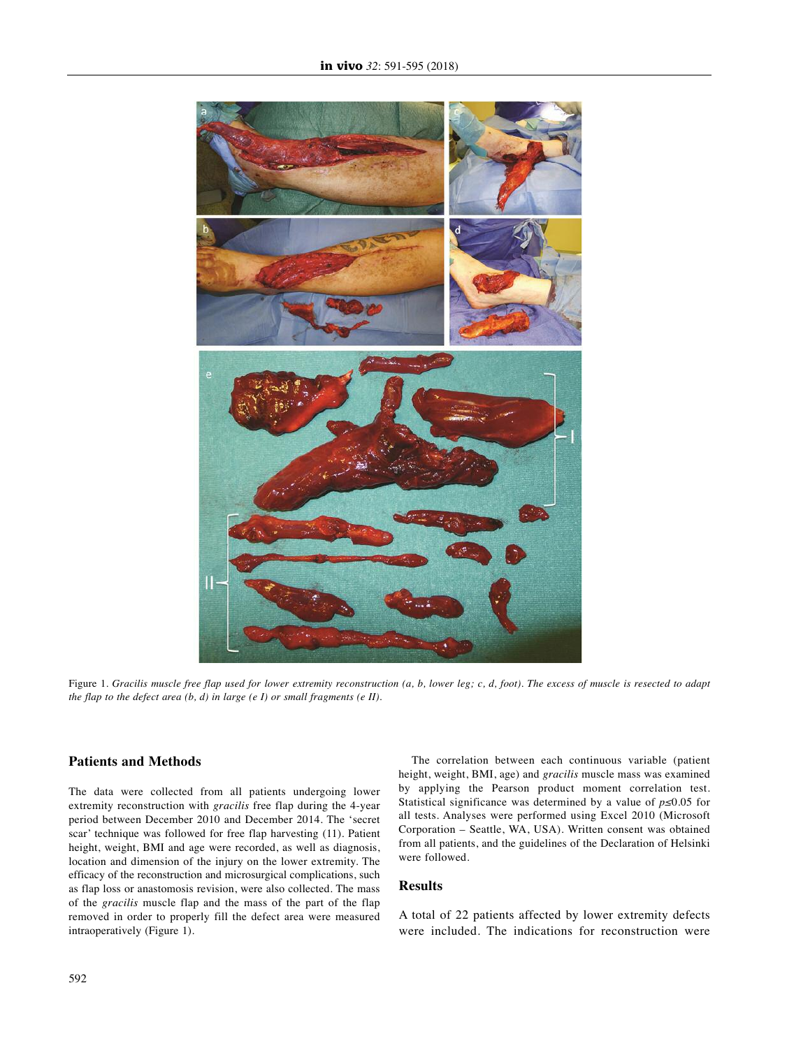

Figure 1. Gracilis muscle free flap used for lower extremity reconstruction (a, b, lower leg; c, d, foot). The excess of muscle is resected to adapt *the flap to the defect area (b, d) in large (e I) or small fragments (e II).*

## **Patients and Methods**

The data were collected from all patients undergoing lower extremity reconstruction with *gracilis* free flap during the 4-year period between December 2010 and December 2014. The 'secret scar' technique was followed for free flap harvesting (11). Patient height, weight, BMI and age were recorded, as well as diagnosis, location and dimension of the injury on the lower extremity. The efficacy of the reconstruction and microsurgical complications, such as flap loss or anastomosis revision, were also collected. The mass of the *gracilis* muscle flap and the mass of the part of the flap removed in order to properly fill the defect area were measured intraoperatively (Figure 1).

The correlation between each continuous variable (patient height, weight, BMI, age) and *gracilis* muscle mass was examined by applying the Pearson product moment correlation test. Statistical significance was determined by a value of *p≤*0.05 for all tests. Analyses were performed using Excel 2010 (Microsoft Corporation – Seattle, WA, USA). Written consent was obtained from all patients, and the guidelines of the Declaration of Helsinki were followed.

### **Results**

A total of 22 patients affected by lower extremity defects were included. The indications for reconstruction were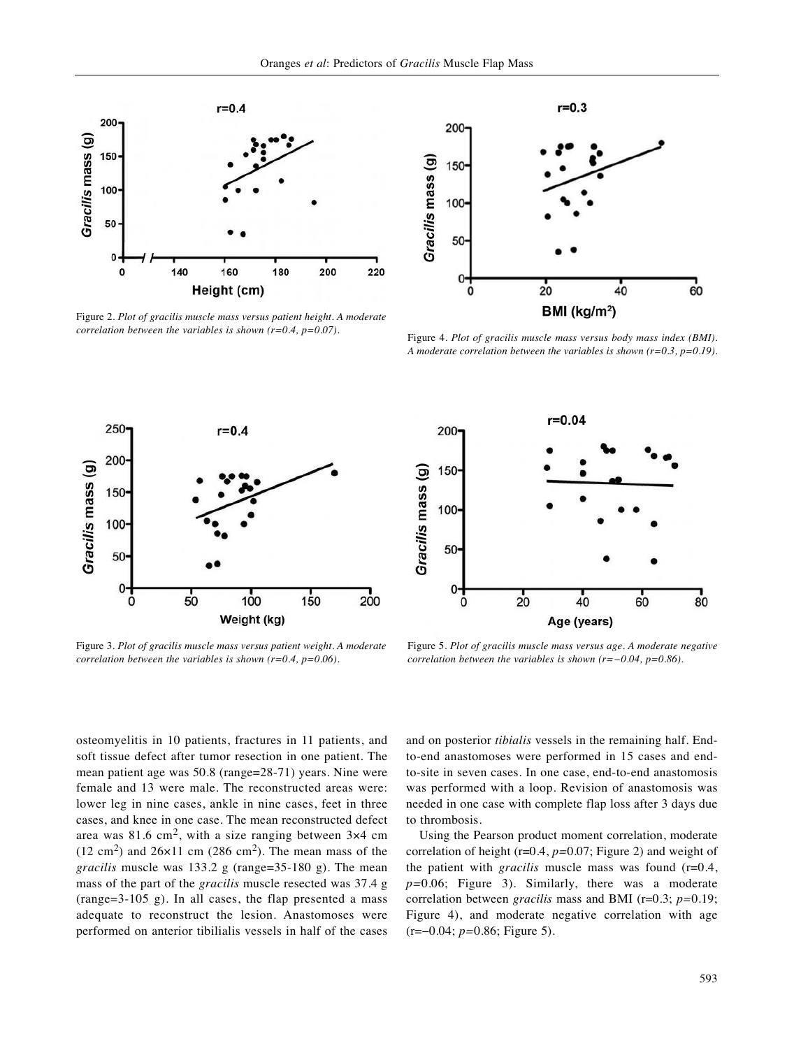

Figure 2. *Plot of gracilis muscle mass versus patient height. A moderate correlation between the variables is shown (r=0.4, p=0.07).*



Figure 4. *Plot of gracilis muscle mass versus body mass index (BMI). A moderate correlation between the variables is shown (r=0.3, p=0.19).*



Figure 3. *Plot of gracilis muscle mass versus patient weight. A moderate correlation between the variables is shown (r=0.4, p=0.06).*



Figure 5. *Plot of gracilis muscle mass versus age. A moderate negative correlation between the variables is shown (r=−0.04, p=0.86).*

osteomyelitis in 10 patients, fractures in 11 patients, and soft tissue defect after tumor resection in one patient. The mean patient age was 50.8 (range=28-71) years. Nine were female and 13 were male. The reconstructed areas were: lower leg in nine cases, ankle in nine cases, feet in three cases, and knee in one case. The mean reconstructed defect area was 81.6 cm<sup>2</sup>, with a size ranging between  $3\times4$  cm  $(12 \text{ cm}^2)$  and  $26 \times 11 \text{ cm}$   $(286 \text{ cm}^2)$ . The mean mass of the *gracilis* muscle was 133.2 g (range=35-180 g). The mean mass of the part of the *gracilis* muscle resected was 37.4 g (range=3-105 g). In all cases, the flap presented a mass adequate to reconstruct the lesion. Anastomoses were performed on anterior tibilialis vessels in half of the cases and on posterior *tibialis* vessels in the remaining half. Endto-end anastomoses were performed in 15 cases and endto-site in seven cases. In one case, end-to-end anastomosis was performed with a loop. Revision of anastomosis was needed in one case with complete flap loss after 3 days due to thrombosis.

Using the Pearson product moment correlation, moderate correlation of height (r=0.4, *p=*0.07; Figure 2) and weight of the patient with *gracilis* muscle mass was found (r=0.4, *p=*0.06; Figure 3). Similarly, there was a moderate correlation between *gracilis* mass and BMI (r=0.3; *p=*0.19; Figure 4), and moderate negative correlation with age (r=−0.04; *p=*0.86; Figure 5).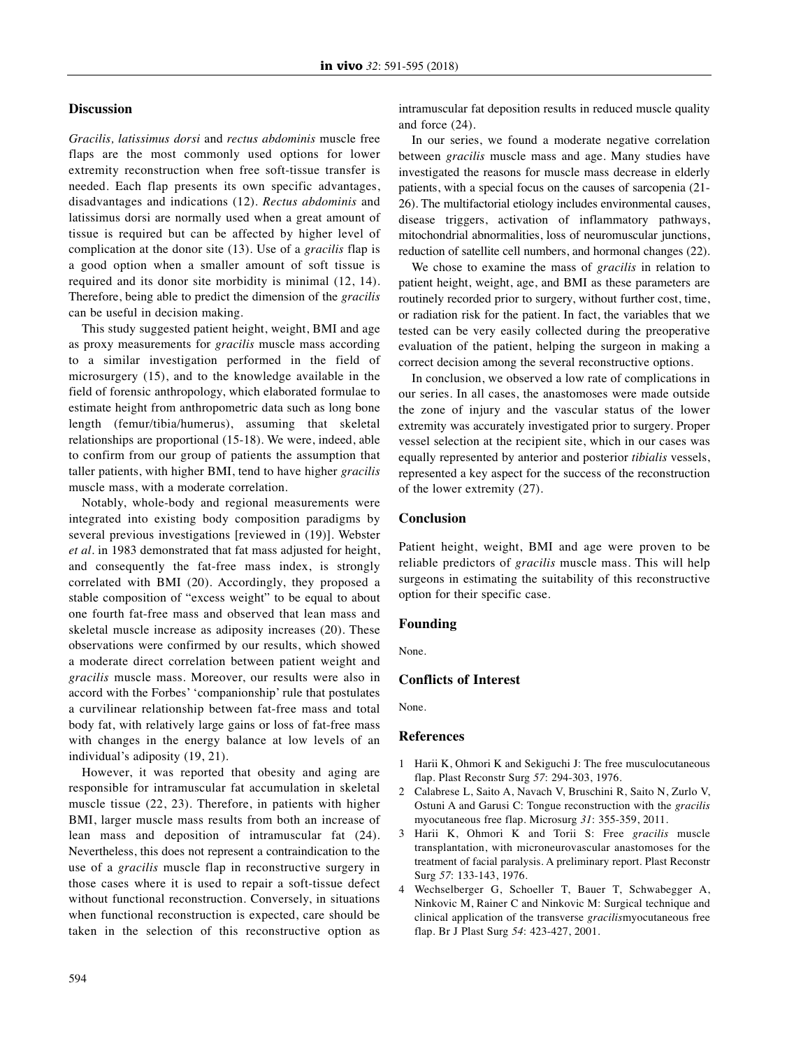#### **Discussion**

*Gracilis, latissimus dorsi* and *rectus abdominis* muscle free flaps are the most commonly used options for lower extremity reconstruction when free soft-tissue transfer is needed. Each flap presents its own specific advantages, disadvantages and indications (12). *Rectus abdominis* and latissimus dorsi are normally used when a great amount of tissue is required but can be affected by higher level of complication at the donor site (13). Use of a *gracilis* flap is a good option when a smaller amount of soft tissue is required and its donor site morbidity is minimal (12, 14). Therefore, being able to predict the dimension of the *gracilis* can be useful in decision making.

This study suggested patient height, weight, BMI and age as proxy measurements for *gracilis* muscle mass according to a similar investigation performed in the field of microsurgery (15), and to the knowledge available in the field of forensic anthropology, which elaborated formulae to estimate height from anthropometric data such as long bone length (femur/tibia/humerus), assuming that skeletal relationships are proportional (15-18). We were, indeed, able to confirm from our group of patients the assumption that taller patients, with higher BMI, tend to have higher *gracilis* muscle mass, with a moderate correlation.

Notably, whole-body and regional measurements were integrated into existing body composition paradigms by several previous investigations [reviewed in (19)]. Webster *et al.* in 1983 demonstrated that fat mass adjusted for height, and consequently the fat-free mass index, is strongly correlated with BMI (20). Accordingly, they proposed a stable composition of "excess weight" to be equal to about one fourth fat-free mass and observed that lean mass and skeletal muscle increase as adiposity increases (20). These observations were confirmed by our results, which showed a moderate direct correlation between patient weight and *gracilis* muscle mass. Moreover, our results were also in accord with the Forbes' 'companionship' rule that postulates a curvilinear relationship between fat-free mass and total body fat, with relatively large gains or loss of fat-free mass with changes in the energy balance at low levels of an individual's adiposity (19, 21).

However, it was reported that obesity and aging are responsible for intramuscular fat accumulation in skeletal muscle tissue (22, 23). Therefore, in patients with higher BMI, larger muscle mass results from both an increase of lean mass and deposition of intramuscular fat (24). Nevertheless, this does not represent a contraindication to the use of a *gracilis* muscle flap in reconstructive surgery in those cases where it is used to repair a soft-tissue defect without functional reconstruction. Conversely, in situations when functional reconstruction is expected, care should be taken in the selection of this reconstructive option as intramuscular fat deposition results in reduced muscle quality and force (24).

In our series, we found a moderate negative correlation between *gracilis* muscle mass and age. Many studies have investigated the reasons for muscle mass decrease in elderly patients, with a special focus on the causes of sarcopenia (21- 26). The multifactorial etiology includes environmental causes, disease triggers, activation of inflammatory pathways, mitochondrial abnormalities, loss of neuromuscular junctions, reduction of satellite cell numbers, and hormonal changes (22).

We chose to examine the mass of *gracilis* in relation to patient height, weight, age, and BMI as these parameters are routinely recorded prior to surgery, without further cost, time, or radiation risk for the patient. In fact, the variables that we tested can be very easily collected during the preoperative evaluation of the patient, helping the surgeon in making a correct decision among the several reconstructive options.

In conclusion, we observed a low rate of complications in our series. In all cases, the anastomoses were made outside the zone of injury and the vascular status of the lower extremity was accurately investigated prior to surgery. Proper vessel selection at the recipient site, which in our cases was equally represented by anterior and posterior *tibialis* vessels, represented a key aspect for the success of the reconstruction of the lower extremity (27).

#### **Conclusion**

Patient height, weight, BMI and age were proven to be reliable predictors of *gracilis* muscle mass. This will help surgeons in estimating the suitability of this reconstructive option for their specific case.

#### **Founding**

None.

## **Conflicts of Interest**

None.

#### **References**

- 1 Harii K, Ohmori K and Sekiguchi J: The free musculocutaneous flap. Plast Reconstr Surg *57*: 294-303, 1976.
- 2 Calabrese L, Saito A, Navach V, Bruschini R, Saito N, Zurlo V, Ostuni A and Garusi C: Tongue reconstruction with the *gracilis* myocutaneous free flap. Microsurg *31*: 355-359, 2011.
- 3 Harii K, Ohmori K and Torii S: Free *gracilis* muscle transplantation, with microneurovascular anastomoses for the treatment of facial paralysis. A preliminary report. Plast Reconstr Surg *57*: 133-143, 1976.
- 4 Wechselberger G, Schoeller T, Bauer T, Schwabegger A, Ninkovic M, Rainer C and Ninkovic M: Surgical technique and clinical application of the transverse *gracilis*myocutaneous free flap. Br J Plast Surg *54*: 423-427, 2001.